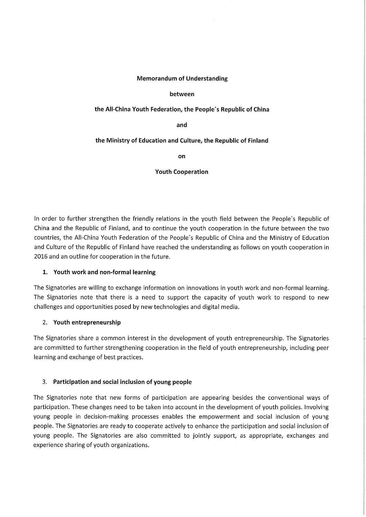## Memorandum of Understanding

# between

## the AII-China Youth Federation, the People's Republic of China

and

## the Ministry of Education and Culture, the Republic of Finland

on

Youth Cooperation

In order to further strengthen the friendly relations in the youth field between the People's Republic of China and the Republic of Finland, and to continue the youth cooperation in the future between the two countries, the AII-China Youth Federation of the People's Republic of China and the Ministry of Education and Culture of the Republic of Finland have reached the understanding as follows on youth cooperation in 2016 and an outline for cooperation in the future.

# l. Youth work and non-formal learning

The Signatories are vvilling to exchange information on innovations in youth work and non-formal learning. The Signatories note that there is a need to support the capacity of youth work to respond to new challenges and opportunities posed by new technologies and digital media.

#### 2. Youth entrepreneurship

The Signatories share a common interest in the development of youth entrepreneurship. The Signatories are committed to further strengthening cooperation in the field of youth entrepreneurship, including peer learning and exchange of best practices.

#### 3. Participation and social inclusion of young people

The Signatories note that new forms of participation are appearing besides the conventional ways of participation. These changes need to be taken into account in the development of youth policies. Involving young people in decision-making processes enables the empowerment and social inclusion of young people. The Signatories are ready to cooperate actively to enhance the participation and social inclusion of young people. The Signatories are also committed to jointly support, as appropriate, exchanges and experience sharing of youth organizations.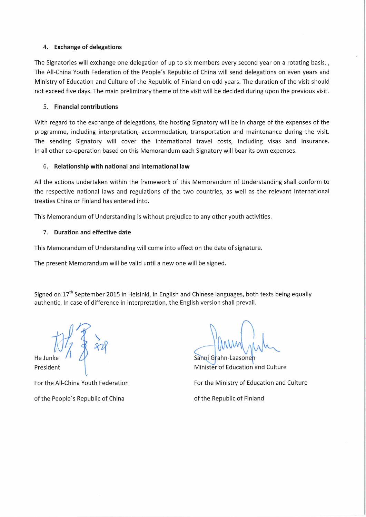# 4. Exchange of delegations

The Signatories will exchange one delegation of up to six members every second year on a rotating basis., The AII-China Youth Federation of the People's Republic of China will send delegations on even years and Ministry of Education and Culture of the Republic of Finland on odd years. The duration of the visit should not exceed five days. The main preliminary theme of the visit will be decided during upon the previous visit.

# 5. Financial contributions

With regard to the exchange of delegations, the hosting Signatory will be in charge of the expenses of the programme, including interpretation, accommodation, transportation and maintenance during the visit. The sending Signatory will cover the international travel costs, including visas and insurance. In ali other co-operation based on this Memorandum each Signatory will bear its own expenses.

# 6. Relationship with national and international law

All the actions undertaken within the framework of this Memorandum of Understanding shall conform to the respective national laws and regulations of the two countries, as weil as the relevant international treaties China or Finland has entered into.

This Memorandum of Understanding is vvithout prejudice to any other youth activities.

# 7. Duration and effective date

This Memorandum of Understanding will come into effect on the date of signature.

The present Memorandum will be valid until a new one will be signed.

Signed on 17<sup>th</sup> September 2015 in Helsinki, in English and Chinese languages, both texts being equally authentic. In case of difference in interpretation, the English version shall prevail.

 $+11x$ \  $\frac{1}{4}$   $\frac{1}{2}$ f - f

He Junke President

For the All-China Youth Federation of the People's Republic of China

Sanni Grahn-Laasone Minister of Education and Culture

For the Ministry of Education and Culture

of the Republic of Finland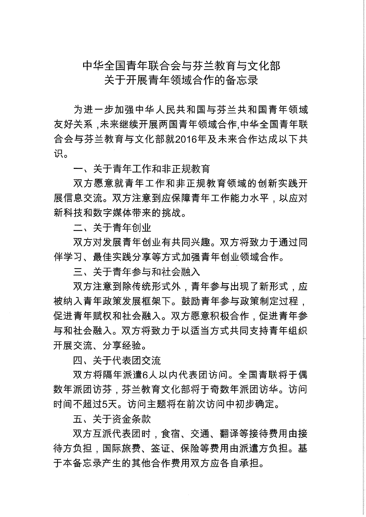# 中华全国青年联合会与芬兰教育与文化部

关于开展青年领域合作的备忘录

为进一步加强中华人民共和国与芬兰共和国青年领域 友好关系,未来继续开展两国青年领域合作.中华全国青年联 合会与芬兰教育与文化部就2016年及未来合作达成以下共 识。

一、关于青年工作和非正规教育

双方愿意就青年工作和非正规教育领域的创新实践开 展信息交流。双方注意到应保障青年工作能力水平,以应对 新科技和数字媒体带来的挑战。

二、关于青年创业

双方对发展青年创业有共同兴趣。双方将致力于通过同 伴学习、最佳实践分享等方式加强青年创业领域合作。

三、关于青年参与和社会融入

双方注意到除传统形式外,青年参与出现了新形式,应 被纳入青年政策发展框架下。鼓励青年参与政策制定过程, 促进青年赋权和社会融入。双方愿意积极合作,促进青年参 与和社会融入。双方将致力于以活当方式共同支持青年组织 开展交流、分享经验。

四、关于代表团交流

双方将隔年派遣6人以内代表团访问。全国青联将干偶 数年派团访芬,芬兰教育文化部将干奇数年派团访华。访问 时间不超过5天。访问主题将在前次访问中初步确定。

五、关于资金条款

双方互派代表团时,食宿、交通、翻译等接待费用由接 待方负担,国际旅费、签证、保险等费用由派遣方负担。基 干本备忘录产生的其他合作费用双方应各自承担。